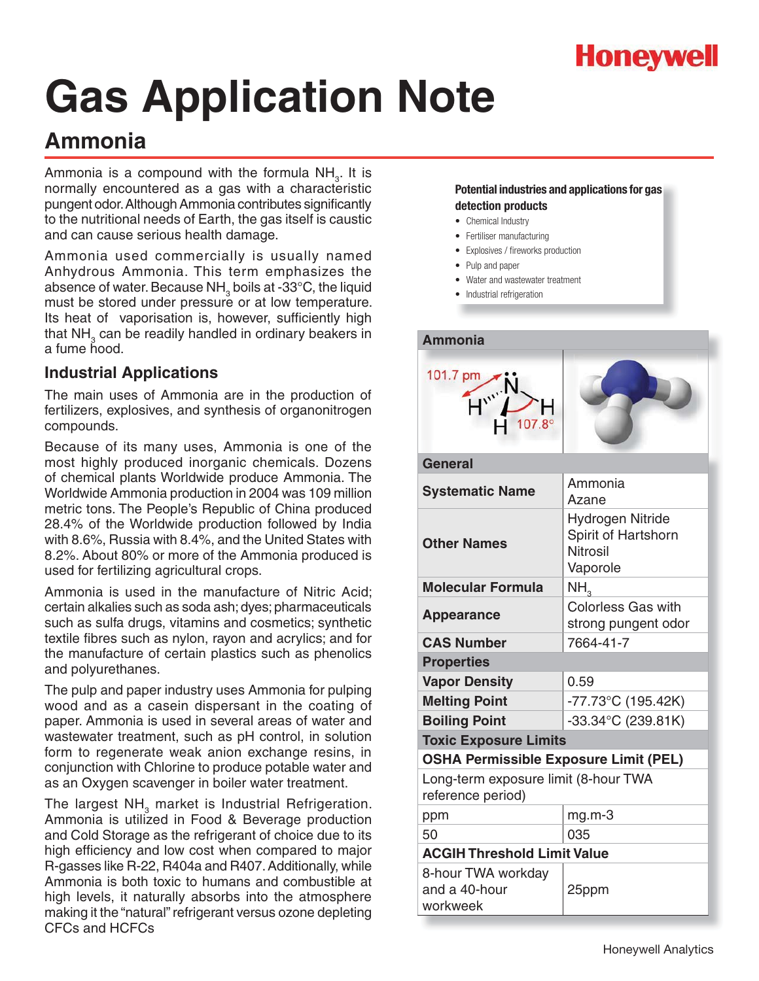

## **Ammonia**

Ammonia is a compound with the formula  $NH_{3}$ . It is normally encountered as a gas with a characteristic pungent odor. Although Ammonia contributes significantly to the nutritional needs of Earth, the gas itself is caustic and can cause serious health damage.

Ammonia used commercially is usually named Anhydrous Ammonia. This term emphasizes the absence of water. Because NH $_{\textrm{\tiny{3}}}$  boils at -33°C, the liquid must be stored under pressure or at low temperature. Its heat of vaporisation is, however, sufficiently high that NH $_{_3}$  can be readily handled in ordinary beakers in a fume hood.

### **Industrial Applications**

The main uses of Ammonia are in the production of fertilizers, explosives, and synthesis of organonitrogen compounds.

Because of its many uses, Ammonia is one of the most highly produced inorganic chemicals. Dozens of chemical plants Worldwide produce Ammonia. The Worldwide Ammonia production in 2004 was 109 million metric tons. The People's Republic of China produced 28.4% of the Worldwide production followed by India with 8.6%, Russia with 8.4%, and the United States with 8.2%. About 80% or more of the Ammonia produced is used for fertilizing agricultural crops.

Ammonia is used in the manufacture of Nitric Acid; certain alkalies such as soda ash; dyes; pharmaceuticals such as sulfa drugs, vitamins and cosmetics; synthetic textile fibres such as nylon, rayon and acrylics; and for the manufacture of certain plastics such as phenolics and polyurethanes.

The pulp and paper industry uses Ammonia for pulping wood and as a casein dispersant in the coating of paper. Ammonia is used in several areas of water and wastewater treatment, such as pH control, in solution form to regenerate weak anion exchange resins, in conjunction with Chlorine to produce potable water and as an Oxygen scavenger in boiler water treatment.

The largest NH<sub>3</sub> market is Industrial Refrigeration. Ammonia is utilized in Food & Beverage production and Cold Storage as the refrigerant of choice due to its high efficiency and low cost when compared to major R-gasses like R-22, R404a and R407. Additionally, while Ammonia is both toxic to humans and combustible at high levels, it naturally absorbs into the atmosphere making it the "natural" refrigerant versus ozone depleting CFCs and HCFCs

- Chemical Industry
- Fertiliser manufacturing
- Explosives / fireworks production
- Pulp and paper
- Water and wastewater treatment
- Industrial refrigeration

| <b>Ammonia</b>                                            |                                                                               |  |
|-----------------------------------------------------------|-------------------------------------------------------------------------------|--|
| 101.7 pm<br>$H^{w}$ N<br>$107.8^{\circ}$                  |                                                                               |  |
| <b>General</b>                                            |                                                                               |  |
| <b>Systematic Name</b>                                    | Ammonia<br>Azane                                                              |  |
| <b>Other Names</b>                                        | <b>Hydrogen Nitride</b><br>Spirit of Hartshorn<br><b>Nitrosil</b><br>Vaporole |  |
| <b>Molecular Formula</b>                                  | NH,                                                                           |  |
| <b>Appearance</b>                                         | <b>Colorless Gas with</b><br>strong pungent odor                              |  |
| <b>CAS Number</b>                                         | 7664-41-7                                                                     |  |
| <b>Properties</b>                                         |                                                                               |  |
| <b>Vapor Density</b>                                      | 0.59                                                                          |  |
| <b>Melting Point</b>                                      | -77.73°C (195.42K)                                                            |  |
| <b>Boiling Point</b>                                      | $-33.34$ °C (239.81K)                                                         |  |
| <b>Toxic Exposure Limits</b>                              |                                                                               |  |
| <b>OSHA Permissible Exposure Limit (PEL)</b>              |                                                                               |  |
| Long-term exposure limit (8-hour TWA<br>reference period) |                                                                               |  |
| ppm                                                       | mg.m-3                                                                        |  |
| 50                                                        | 035                                                                           |  |
| <b>ACGIH Threshold Limit Value</b>                        |                                                                               |  |
| 8-hour TWA workday<br>and a 40-hour<br>workweek           | 25ppm                                                                         |  |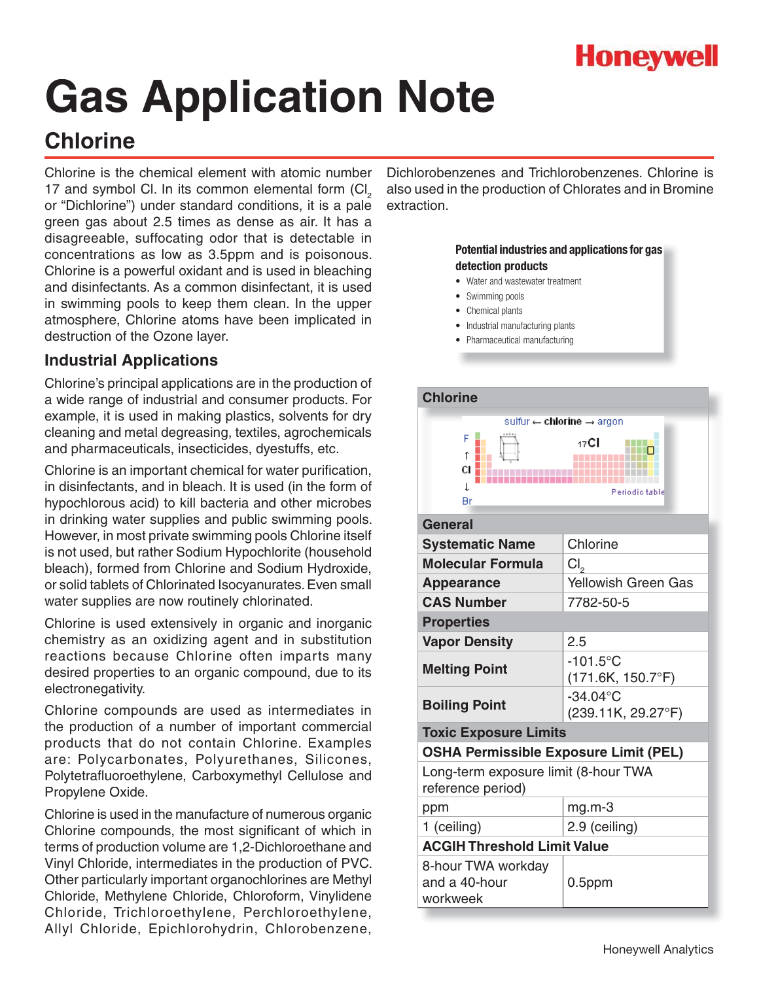

## **Chlorine**

Chlorine is the chemical element with atomic number 17 and symbol Cl. In its common elemental form  $\text{(Cl}_{_2}$ or "Dichlorine") under standard conditions, it is a pale green gas about 2.5 times as dense as air. It has a disagreeable, suffocating odor that is detectable in concentrations as low as 3.5ppm and is poisonous. Chlorine is a powerful oxidant and is used in bleaching and disinfectants. As a common disinfectant, it is used in swimming pools to keep them clean. In the upper atmosphere, Chlorine atoms have been implicated in destruction of the Ozone layer.

### **Industrial Applications**

Chlorine's principal applications are in the production of a wide range of industrial and consumer products. For example, it is used in making plastics, solvents for dry cleaning and metal degreasing, textiles, agrochemicals and pharmaceuticals, insecticides, dyestuffs, etc.

Chlorine is an important chemical for water purification, in disinfectants, and in bleach. It is used (in the form of hypochlorous acid) to kill bacteria and other microbes in drinking water supplies and public swimming pools. However, in most private swimming pools Chlorine itself is not used, but rather Sodium Hypochlorite (household bleach), formed from Chlorine and Sodium Hydroxide, or solid tablets of Chlorinated Isocyanurates. Even small water supplies are now routinely chlorinated.

Chlorine is used extensively in organic and inorganic chemistry as an oxidizing agent and in substitution reactions because Chlorine often imparts many desired properties to an organic compound, due to its electronegativity.

Chlorine compounds are used as intermediates in the production of a number of important commercial products that do not contain Chlorine. Examples are: Polycarbonates, Polyurethanes, Silicones, Polytetrafluoroethylene, Carboxymethyl Cellulose and Propylene Oxide.

Chlorine is used in the manufacture of numerous organic Chlorine compounds, the most significant of which in terms of production volume are 1,2-Dichloroethane and Vinyl Chloride, intermediates in the production of PVC. Other particularly important organochlorines are Methyl Chloride, Methylene Chloride, Chloroform, Vinylidene Chloride, Trichloroethylene, Perchloroethylene, Allyl Chloride, Epichlorohydrin, Chlorobenzene,

Dichlorobenzenes and Trichlorobenzenes. Chlorine is also used in the production of Chlorates and in Bromine extraction.

- Water and wastewater treatment
- Swimming pools
- Chemical plants
- Industrial manufacturing plants
- Pharmaceutical manufacturing

| <b>Chlorine</b>                                           |                                           |  |
|-----------------------------------------------------------|-------------------------------------------|--|
|                                                           | sulfur << chlorine <> argon               |  |
| F<br>t.<br>cı ¦<br>L<br>Нr                                | 17 <b>CI</b><br>Periodic table            |  |
| General                                                   |                                           |  |
| <b>Systematic Name</b>                                    | Chlorine                                  |  |
| <b>Molecular Formula</b>                                  | Cl <sub>2</sub>                           |  |
| <b>Appearance</b>                                         | <b>Yellowish Green Gas</b>                |  |
| <b>CAS Number</b>                                         | 7782-50-5                                 |  |
| <b>Properties</b>                                         |                                           |  |
| <b>Vapor Density</b>                                      | 2.5                                       |  |
| <b>Melting Point</b>                                      | $-101.5$ °C<br>$(171.6K, 150.7^{\circ}F)$ |  |
| <b>Boiling Point</b>                                      | $-34.04$ °C<br>(239.11K, 29.27°F)         |  |
| <b>Toxic Exposure Limits</b>                              |                                           |  |
| <b>OSHA Permissible Exposure Limit (PEL)</b>              |                                           |  |
| Long-term exposure limit (8-hour TWA<br>reference period) |                                           |  |
| ppm                                                       | $mg.m-3$                                  |  |
| 1 (ceiling)                                               | 2.9 (ceiling)                             |  |
| <b>ACGIH Threshold Limit Value</b>                        |                                           |  |
| 8-hour TWA workday<br>and a 40-hour<br>workweek           | $0.5$ ppm                                 |  |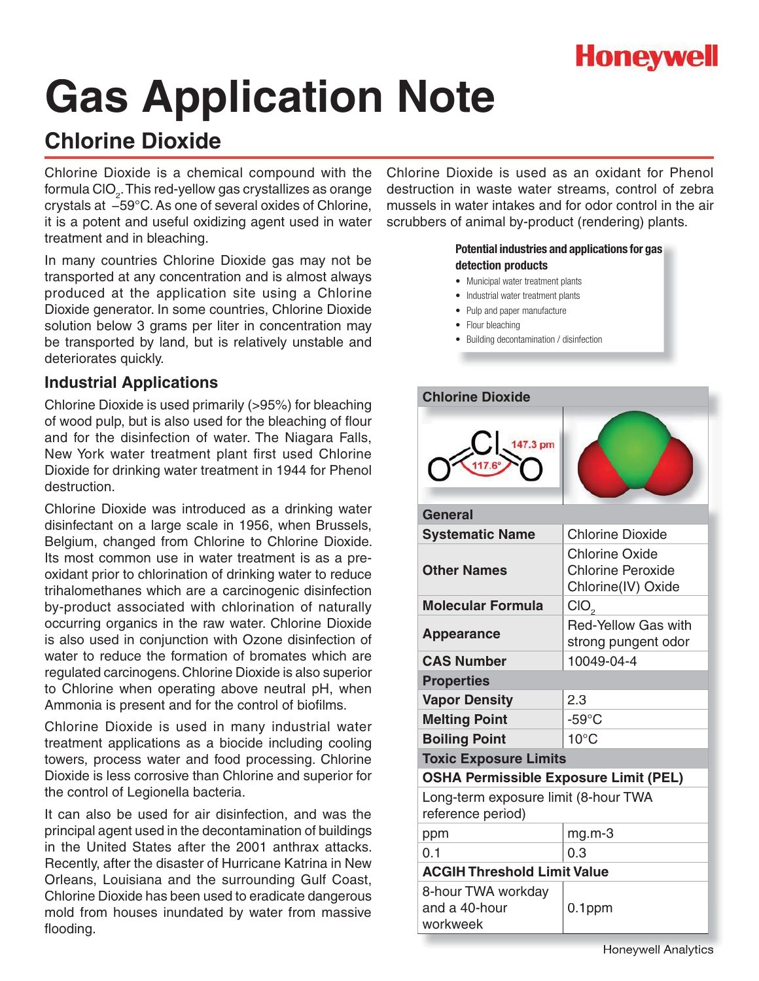

## **Chlorine Dioxide**

Chlorine Dioxide is a chemical compound with the formula CIO $_{_2}$ . This red-yellow gas crystallizes as orange crystals at −59°C. As one of several oxides of Chlorine, it is a potent and useful oxidizing agent used in water treatment and in bleaching.

In many countries Chlorine Dioxide gas may not be transported at any concentration and is almost always produced at the application site using a Chlorine Dioxide generator. In some countries, Chlorine Dioxide solution below 3 grams per liter in concentration may be transported by land, but is relatively unstable and deteriorates quickly.

### **Industrial Applications**

Chlorine Dioxide is used primarily (>95%) for bleaching of wood pulp, but is also used for the bleaching of flour and for the disinfection of water. The Niagara Falls, New York water treatment plant first used Chlorine Dioxide for drinking water treatment in 1944 for Phenol destruction.

Chlorine Dioxide was introduced as a drinking water disinfectant on a large scale in 1956, when Brussels, Belgium, changed from Chlorine to Chlorine Dioxide. Its most common use in water treatment is as a preoxidant prior to chlorination of drinking water to reduce trihalomethanes which are a carcinogenic disinfection by-product associated with chlorination of naturally occurring organics in the raw water. Chlorine Dioxide is also used in conjunction with Ozone disinfection of water to reduce the formation of bromates which are regulated carcinogens. Chlorine Dioxide is also superior to Chlorine when operating above neutral pH, when Ammonia is present and for the control of biofilms.

Chlorine Dioxide is used in many industrial water treatment applications as a biocide including cooling towers, process water and food processing. Chlorine Dioxide is less corrosive than Chlorine and superior for the control of Legionella bacteria.

It can also be used for air disinfection, and was the principal agent used in the decontamination of buildings in the United States after the 2001 anthrax attacks. Recently, after the disaster of Hurricane Katrina in New Orleans, Louisiana and the surrounding Gulf Coast, Chlorine Dioxide has been used to eradicate dangerous mold from houses inundated by water from massive flooding.

Chlorine Dioxide is used as an oxidant for Phenol destruction in waste water streams, control of zebra mussels in water intakes and for odor control in the air scrubbers of animal by-product (rendering) plants.

- Municipal water treatment plants
- Industrial water treatment plants
- Pulp and paper manufacture
- Flour bleaching
- Building decontamination / disinfection

| <b>Chlorine Dioxide</b>                                   |                                                                         |  |
|-----------------------------------------------------------|-------------------------------------------------------------------------|--|
| 147.3 pm                                                  |                                                                         |  |
| General                                                   |                                                                         |  |
| <b>Systematic Name</b>                                    | <b>Chlorine Dioxide</b>                                                 |  |
| <b>Other Names</b>                                        | <b>Chlorine Oxide</b><br><b>Chlorine Peroxide</b><br>Chlorine(IV) Oxide |  |
| <b>Molecular Formula</b>                                  | CIO <sub>2</sub>                                                        |  |
| <b>Appearance</b>                                         | <b>Red-Yellow Gas with</b><br>strong pungent odor                       |  |
| <b>CAS Number</b>                                         | 10049-04-4                                                              |  |
| <b>Properties</b>                                         |                                                                         |  |
| <b>Vapor Density</b>                                      | 2.3                                                                     |  |
| <b>Melting Point</b>                                      | $-59^{\circ}$ C                                                         |  |
| <b>Boiling Point</b>                                      | $10^{\circ}$ C                                                          |  |
| <b>Toxic Exposure Limits</b>                              |                                                                         |  |
| <b>OSHA Permissible Exposure Limit (PEL)</b>              |                                                                         |  |
| Long-term exposure limit (8-hour TWA<br>reference period) |                                                                         |  |
| ppm                                                       | $mg.m-3$                                                                |  |
| 0.1                                                       | 0.3                                                                     |  |
| <b>ACGIH Threshold Limit Value</b>                        |                                                                         |  |
| 8-hour TWA workday<br>and a 40-hour<br>workweek           | $0.1$ ppm                                                               |  |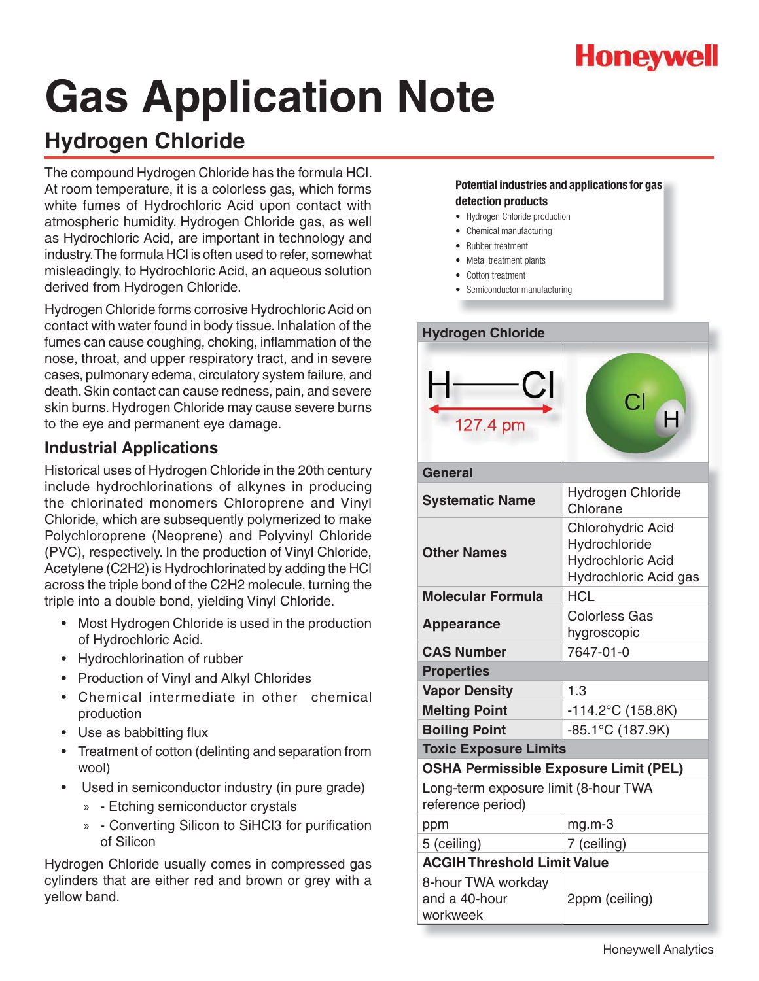

## **Hydrogen Chloride**

The compound Hydrogen Chloride has the formula HCl. At room temperature, it is a colorless gas, which forms white fumes of Hydrochloric Acid upon contact with atmospheric humidity. Hydrogen Chloride gas, as well as Hydrochloric Acid, are important in technology and industry. The formula HCl is often used to refer, somewhat misleadingly, to Hydrochloric Acid, an aqueous solution derived from Hydrogen Chloride.

Hydrogen Chloride forms corrosive Hydrochloric Acid on contact with water found in body tissue. Inhalation of the fumes can cause coughing, choking, inflammation of the nose, throat, and upper respiratory tract, and in severe cases, pulmonary edema, circulatory system failure, and death. Skin contact can cause redness, pain, and severe skin burns. Hydrogen Chloride may cause severe burns to the eye and permanent eye damage.

## **Industrial Applications**

Historical uses of Hydrogen Chloride in the 20th century include hydrochlorinations of alkynes in producing the chlorinated monomers Chloroprene and Vinyl Chloride, which are subsequently polymerized to make Polychloroprene (Neoprene) and Polyvinyl Chloride (PVC), respectively. In the production of Vinyl Chloride, Acetylene (C2H2) is Hydrochlorinated by adding the HCl across the triple bond of the C2H2 molecule, turning the triple into a double bond, yielding Vinyl Chloride.

- Most Hydrogen Chloride is used in the production of Hydrochloric Acid.
- Hydrochlorination of rubber
- Production of Vinyl and Alkyl Chlorides
- Chemical intermediate in other chemical production
- Use as babbitting flux
- Treatment of cotton (delinting and separation from wool)
- Used in semiconductor industry (in pure grade)
	- » Etching semiconductor crystals
	- » Converting Silicon to SiHCl3 for purification of Silicon

Hydrogen Chloride usually comes in compressed gas cylinders that are either red and brown or grey with a yellow band.

- Hydrogen Chloride production
- Chemical manufacturing
- Rubber treatment
- Metal treatment plants
- Cotton treatment
- Semiconductor manufacturing

| <b>Hydrogen Chloride</b>                                  |                                                                                                |  |
|-----------------------------------------------------------|------------------------------------------------------------------------------------------------|--|
| 127.4 pm                                                  | CI                                                                                             |  |
| <b>General</b>                                            |                                                                                                |  |
| <b>Systematic Name</b>                                    | Hydrogen Chloride<br>Chlorane                                                                  |  |
| <b>Other Names</b>                                        | <b>Chlorohydric Acid</b><br>Hydrochloride<br><b>Hydrochloric Acid</b><br>Hydrochloric Acid gas |  |
| <b>Molecular Formula</b>                                  | <b>HCL</b>                                                                                     |  |
| <b>Appearance</b>                                         | <b>Colorless Gas</b><br>hygroscopic                                                            |  |
| <b>CAS Number</b>                                         | 7647-01-0                                                                                      |  |
| <b>Properties</b>                                         |                                                                                                |  |
| <b>Vapor Density</b>                                      | 1.3                                                                                            |  |
| <b>Melting Point</b>                                      | $-114.2$ °C (158.8K)                                                                           |  |
| <b>Boiling Point</b>                                      | $-85.1^{\circ}$ C (187.9K)                                                                     |  |
| <b>Toxic Exposure Limits</b>                              |                                                                                                |  |
| <b>OSHA Permissible Exposure Limit (PEL)</b>              |                                                                                                |  |
| Long-term exposure limit (8-hour TWA<br>reference period) |                                                                                                |  |
| ppm                                                       | $mg.m-3$                                                                                       |  |
| 5 (ceiling)                                               | 7 (ceiling)                                                                                    |  |
| <b>ACGIH Threshold Limit Value</b>                        |                                                                                                |  |
| 8-hour TWA workday<br>and a 40-hour<br>workweek           | 2ppm (ceiling)                                                                                 |  |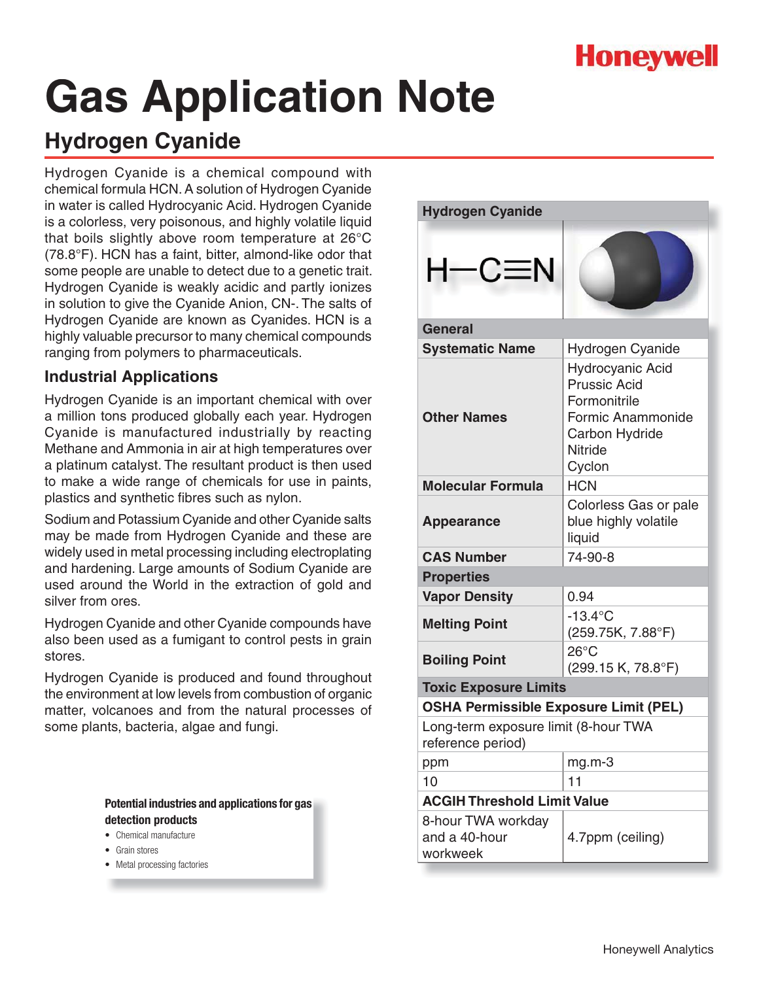## **Honeywell**

# **Gas Application Note**

## **Hydrogen Cyanide**

Hydrogen Cyanide is a chemical compound with chemical formula HCN. A solution of Hydrogen Cyanide in water is called Hydrocyanic Acid. Hydrogen Cyanide is a colorless, very poisonous, and highly volatile liquid that boils slightly above room temperature at 26°C (78.8°F). HCN has a faint, bitter, almond-like odor that some people are unable to detect due to a genetic trait. Hydrogen Cyanide is weakly acidic and partly ionizes in solution to give the Cyanide Anion, CN-. The salts of Hydrogen Cyanide are known as Cyanides. HCN is a highly valuable precursor to many chemical compounds ranging from polymers to pharmaceuticals.

## **Industrial Applications**

Hydrogen Cyanide is an important chemical with over a million tons produced globally each year. Hydrogen Cyanide is manufactured industrially by reacting Methane and Ammonia in air at high temperatures over a platinum catalyst. The resultant product is then used to make a wide range of chemicals for use in paints, plastics and synthetic fibres such as nylon.

Sodium and Potassium Cyanide and other Cyanide salts may be made from Hydrogen Cyanide and these are widely used in metal processing including electroplating and hardening. Large amounts of Sodium Cyanide are used around the World in the extraction of gold and silver from ores.

Hydrogen Cyanide and other Cyanide compounds have also been used as a fumigant to control pests in grain stores.

Hydrogen Cyanide is produced and found throughout the environment at low levels from combustion of organic matter, volcanoes and from the natural processes of some plants, bacteria, algae and fungi.

- Chemical manufacture
- **Grain stores**
- Metal processing factories

| <b>Hydrogen Cyanide</b>                                   |                                                                                                                                   |  |
|-----------------------------------------------------------|-----------------------------------------------------------------------------------------------------------------------------------|--|
| H—C≡N                                                     |                                                                                                                                   |  |
| <b>General</b>                                            |                                                                                                                                   |  |
| <b>Systematic Name</b>                                    | Hydrogen Cyanide                                                                                                                  |  |
| <b>Other Names</b>                                        | <b>Hydrocyanic Acid</b><br><b>Prussic Acid</b><br>Formonitrile<br>Formic Anammonide<br>Carbon Hydride<br><b>Nitride</b><br>Cyclon |  |
| <b>Molecular Formula</b>                                  | <b>HCN</b>                                                                                                                        |  |
| <b>Appearance</b>                                         | Colorless Gas or pale<br>blue highly volatile<br>liquid                                                                           |  |
| <b>CAS Number</b>                                         | 74-90-8                                                                                                                           |  |
| <b>Properties</b>                                         |                                                                                                                                   |  |
| <b>Vapor Density</b>                                      | 0.94                                                                                                                              |  |
| <b>Melting Point</b>                                      | $-13.4$ °C<br>(259.75K, 7.88°F)                                                                                                   |  |
| <b>Boiling Point</b>                                      | $26^{\circ}$ C<br>(299.15 K, 78.8°F)                                                                                              |  |
| <b>Toxic Exposure Limits</b>                              |                                                                                                                                   |  |
| <b>OSHA Permissible Exposure Limit (PEL)</b>              |                                                                                                                                   |  |
| Long-term exposure limit (8-hour TWA<br>reference period) |                                                                                                                                   |  |
| ppm                                                       | mg.m-3                                                                                                                            |  |
| 10                                                        | 11                                                                                                                                |  |
| <b>ACGIH Threshold Limit Value</b>                        |                                                                                                                                   |  |
| 8-hour TWA workday<br>and a 40-hour<br>workweek           | 4.7ppm (ceiling)                                                                                                                  |  |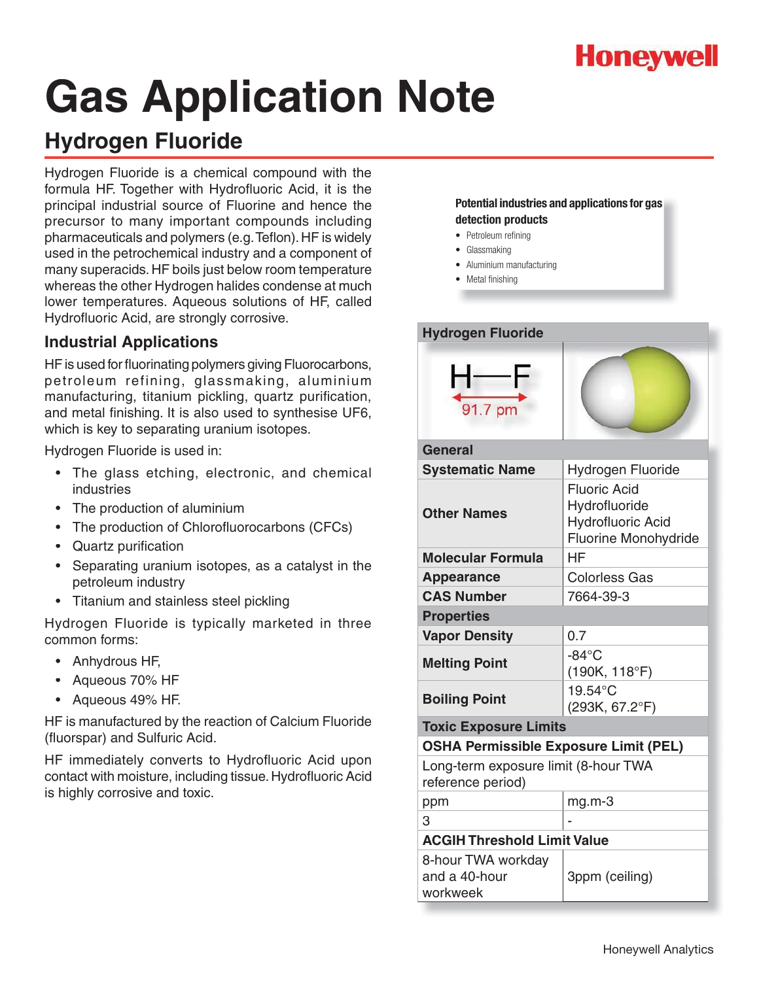

## **Hydrogen Fluoride**

Hydrogen Fluoride is a chemical compound with the formula HF. Together with Hydrofluoric Acid, it is the principal industrial source of Fluorine and hence the precursor to many important compounds including pharmaceuticals and polymers (e.g. Teflon). HF is widely used in the petrochemical industry and a component of many superacids. HF boils just below room temperature whereas the other Hydrogen halides condense at much lower temperatures. Aqueous solutions of HF, called Hydrofluoric Acid, are strongly corrosive.

## **Industrial Applications**

HF is used for fluorinating polymers giving Fluorocarbons, petroleum refining, glassmaking, aluminium manufacturing, titanium pickling, quartz purification, and metal finishing. It is also used to synthesise UF6, which is key to separating uranium isotopes.

Hydrogen Fluoride is used in:

- The glass etching, electronic, and chemical industries
- The production of aluminium
- The production of Chlorofluorocarbons (CFCs)
- Quartz purification
- Separating uranium isotopes, as a catalyst in the petroleum industry
- Titanium and stainless steel pickling

Hydrogen Fluoride is typically marketed in three common forms:

- Anhydrous HF,
- Aqueous 70% HF
- Aqueous 49% HF.

HF is manufactured by the reaction of Calcium Fluoride (fluorspar) and Sulfuric Acid.

HF immediately converts to Hydrofluoric Acid upon contact with moisture, including tissue. Hydrofluoric Acid is highly corrosive and toxic.

- Petroleum refining
- Glassmaking
- Aluminium manufacturing
- Metal finishing



| General                                                   |                                                                                          |  |
|-----------------------------------------------------------|------------------------------------------------------------------------------------------|--|
| <b>Systematic Name</b>                                    | Hydrogen Fluoride                                                                        |  |
| <b>Other Names</b>                                        | <b>Fluoric Acid</b><br>Hydrofluoride<br><b>Hydrofluoric Acid</b><br>Fluorine Monohydride |  |
| <b>Molecular Formula</b>                                  | НF                                                                                       |  |
| <b>Appearance</b>                                         | <b>Colorless Gas</b>                                                                     |  |
| <b>CAS Number</b>                                         | 7664-39-3                                                                                |  |
| <b>Properties</b>                                         |                                                                                          |  |
| <b>Vapor Density</b>                                      | 0.7                                                                                      |  |
| <b>Melting Point</b>                                      | $-84^{\circ}$ C<br>$(190K, 118^{\circ}F)$                                                |  |
| <b>Boiling Point</b>                                      | 19.54°C<br>(293K, 67.2°F)                                                                |  |
| <b>Toxic Exposure Limits</b>                              |                                                                                          |  |
| <b>OSHA Permissible Exposure Limit (PEL)</b>              |                                                                                          |  |
| Long-term exposure limit (8-hour TWA<br>reference period) |                                                                                          |  |
| ppm                                                       | $mg.m-3$                                                                                 |  |
| 3                                                         |                                                                                          |  |
| <b>ACGIH Threshold Limit Value</b>                        |                                                                                          |  |
| 8-hour TWA workday<br>and a 40-hour<br>workweek           | 3ppm (ceiling)                                                                           |  |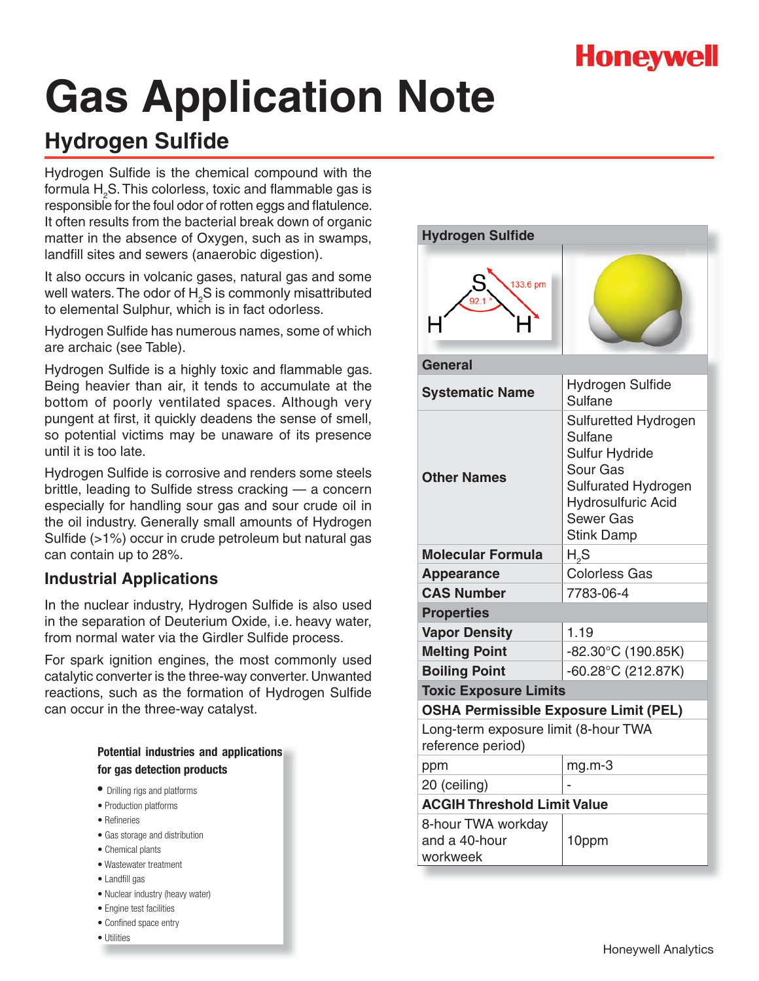# **Honeywell**

# **Gas Application Note**

## **Hydrogen Sulfide**

Hydrogen Sulfide is the chemical compound with the formula  ${\sf H}_{_2}$ S. This colorless, toxic and flammable gas is responsible for the foul odor of rotten eggs and flatulence. It often results from the bacterial break down of organic matter in the absence of Oxygen, such as in swamps, landfill sites and sewers (anaerobic digestion).

It also occurs in volcanic gases, natural gas and some well waters. The odor of  ${\sf H}_{_2}$ S is commonly misattributed to elemental Sulphur, which is in fact odorless.

Hydrogen Sulfide has numerous names, some of which are archaic (see Table).

Hydrogen Sulfide is a highly toxic and flammable gas. Being heavier than air, it tends to accumulate at the bottom of poorly ventilated spaces. Although very pungent at first, it quickly deadens the sense of smell, so potential victims may be unaware of its presence until it is too late.

Hydrogen Sulfide is corrosive and renders some steels brittle, leading to Sulfide stress cracking — a concern especially for handling sour gas and sour crude oil in the oil industry. Generally small amounts of Hydrogen Sulfide (>1%) occur in crude petroleum but natural gas can contain up to 28%.

## **Industrial Applications**

In the nuclear industry, Hydrogen Sulfide is also used in the separation of Deuterium Oxide, i.e. heavy water, from normal water via the Girdler Sulfide process.

For spark ignition engines, the most commonly used catalytic converter is the three-way converter. Unwanted reactions, such as the formation of Hydrogen Sulfide can occur in the three-way catalyst.

|                            |  |  | Potential industries and applications |
|----------------------------|--|--|---------------------------------------|
| for gas detection products |  |  |                                       |

- Drilling rigs and platforms
- Production platforms
- Refineries
- Gas storage and distribution
- Chemical plants
- Wastewater treatment
- Landfill gas
- Nuclear industry (heavy water)
- Engine test facilities
- Confined space entry
- Utilities

| <b>Hydrogen Sulfide</b>                                   |                                                                                                                                                                          |  |
|-----------------------------------------------------------|--------------------------------------------------------------------------------------------------------------------------------------------------------------------------|--|
| 133.6 pm                                                  |                                                                                                                                                                          |  |
| General                                                   |                                                                                                                                                                          |  |
| <b>Systematic Name</b>                                    | Hydrogen Sulfide<br><b>Sulfane</b>                                                                                                                                       |  |
| <b>Other Names</b>                                        | Sulfuretted Hydrogen<br><b>Sulfane</b><br><b>Sulfur Hydride</b><br>Sour Gas<br>Sulfurated Hydrogen<br><b>Hydrosulfuric Acid</b><br><b>Sewer Gas</b><br><b>Stink Damp</b> |  |
| Molecular Formula                                         | $H_{0}S$                                                                                                                                                                 |  |
| <b>Appearance</b>                                         | <b>Colorless Gas</b>                                                                                                                                                     |  |
| <b>CAS Number</b>                                         | 7783-06-4                                                                                                                                                                |  |
| <b>Properties</b>                                         |                                                                                                                                                                          |  |
| <b>Vapor Density</b>                                      | 1.19                                                                                                                                                                     |  |
| <b>Melting Point</b>                                      | $-82.30^{\circ}$ C (190.85K)                                                                                                                                             |  |
| <b>Boiling Point</b>                                      | $-60.28$ °C (212.87K)                                                                                                                                                    |  |
| <b>Toxic Exposure Limits</b>                              |                                                                                                                                                                          |  |
| <b>OSHA Permissible Exposure Limit (PEL)</b>              |                                                                                                                                                                          |  |
| Long-term exposure limit (8-hour TWA<br>reference period) |                                                                                                                                                                          |  |
| ppm                                                       | mg.m-3                                                                                                                                                                   |  |
| 20 (ceiling)                                              |                                                                                                                                                                          |  |
| <b>ACGIH Threshold Limit Value</b>                        |                                                                                                                                                                          |  |
| 8-hour TWA workday<br>and a 40-hour<br>workweek           | 10ppm                                                                                                                                                                    |  |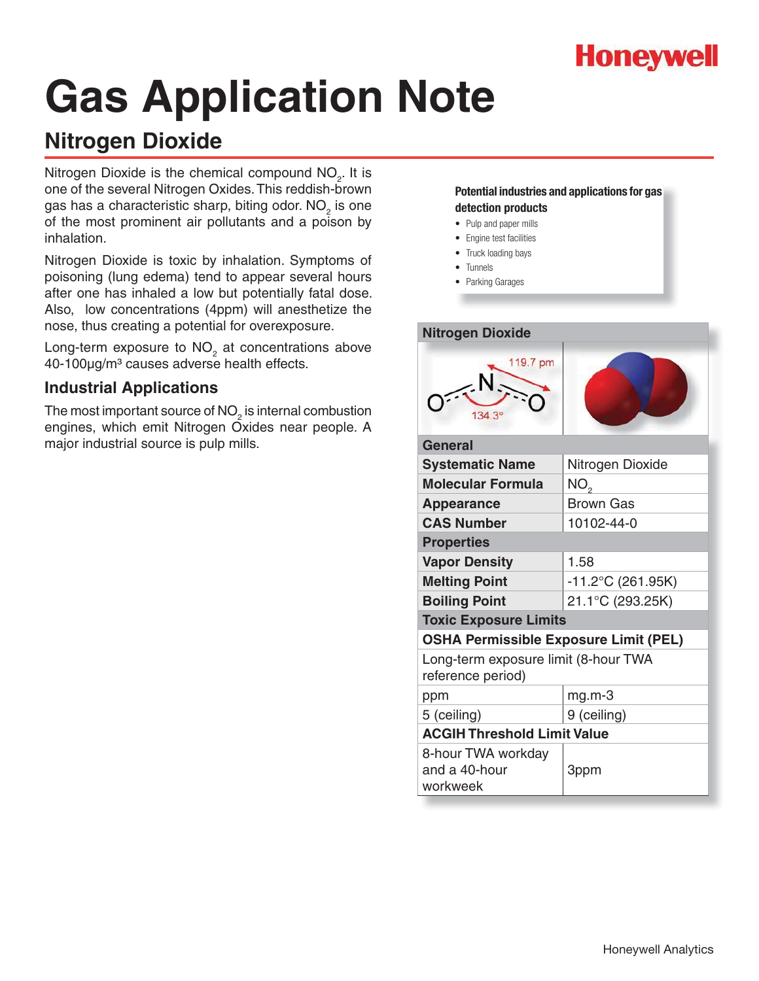

## **Nitrogen Dioxide**

Nitrogen Dioxide is the chemical compound  $NO<sub>2</sub>$ . It is one of the several Nitrogen Oxides. This reddish-brown gas has a characteristic sharp, biting odor. NO<sub>2</sub> is one of the most prominent air pollutants and a poison by inhalation.

Nitrogen Dioxide is toxic by inhalation. Symptoms of poisoning (lung edema) tend to appear several hours after one has inhaled a low but potentially fatal dose. Also, low concentrations (4ppm) will anesthetize the nose, thus creating a potential for overexposure.

Long-term exposure to  $NO<sub>2</sub>$  at concentrations above 40-100µg/m<sup>3</sup> causes adverse health effects.

## **Industrial Applications**

The most important source of NO $_2^{}$  is internal combustion engines, which emit Nitrogen Oxides near people. A major industrial source is pulp mills.

- Pulp and paper mills
- Engine test facilities
- Truck loading bays
- Tunnels
- Parking Garages

| <b>Nitrogen Dioxide</b>                                   |                      |  |
|-----------------------------------------------------------|----------------------|--|
| 119.7 pm                                                  |                      |  |
| <b>General</b>                                            |                      |  |
| <b>Systematic Name</b>                                    | Nitrogen Dioxide     |  |
| <b>Molecular Formula</b>                                  | NO,                  |  |
| <b>Appearance</b>                                         | <b>Brown Gas</b>     |  |
| <b>CAS Number</b>                                         | 10102-44-0           |  |
| <b>Properties</b>                                         |                      |  |
| <b>Vapor Density</b>                                      | 1.58                 |  |
| <b>Melting Point</b>                                      | $-11.2$ °C (261.95K) |  |
| <b>Boiling Point</b>                                      | 21.1°C (293.25K)     |  |
| <b>Toxic Exposure Limits</b>                              |                      |  |
| <b>OSHA Permissible Exposure Limit (PEL)</b>              |                      |  |
| Long-term exposure limit (8-hour TWA<br>reference period) |                      |  |
| ppm                                                       | $mg.m-3$             |  |
| 5 (ceiling)                                               | 9 (ceiling)          |  |
| <b>ACGIH Threshold Limit Value</b>                        |                      |  |
| 8-hour TWA workday<br>and a 40-hour<br>workweek           | 3ppm                 |  |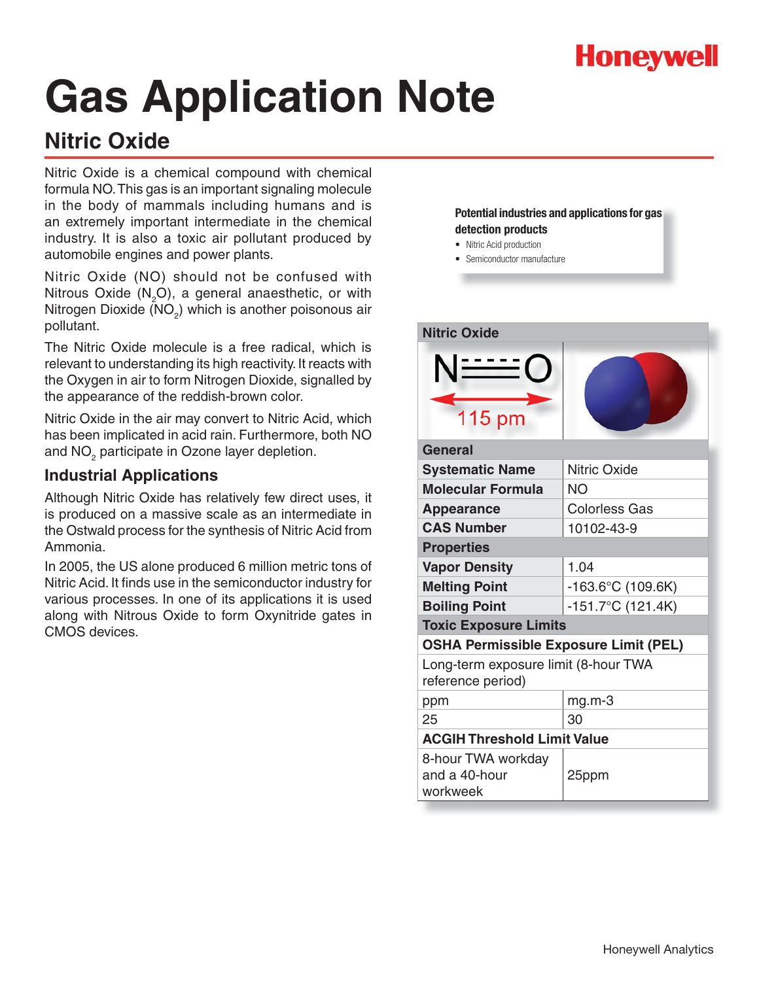

## **Nitric Oxide**

Nitric Oxide is a chemical compound with chemical formula NO. This gas is an important signaling molecule in the body of mammals including humans and is an extremely important intermediate in the chemical industry. It is also a toxic air pollutant produced by automobile engines and power plants.

Nitric Oxide (NO) should not be confused with Nitrous Oxide (N<sub>2</sub>O), a general anaesthetic, or with Nitrogen Dioxide (NO<sub>2</sub>) which is another poisonous air pollutant.

The Nitric Oxide molecule is a free radical, which is relevant to understanding its high reactivity. It reacts with the Oxygen in air to form Nitrogen Dioxide, signalled by the appearance of the reddish-brown color.

Nitric Oxide in the air may convert to Nitric Acid, which has been implicated in acid rain. Furthermore, both NO and NO<sub>2</sub> participate in Ozone layer depletion.

## **Industrial Applications**

Although Nitric Oxide has relatively few direct uses, it is produced on a massive scale as an intermediate in the Ostwald process for the synthesis of Nitric Acid from Ammonia.

In 2005, the US alone produced 6 million metric tons of Nitric Acid. It finds use in the semiconductor industry for various processes. In one of its applications it is used along with Nitrous Oxide to form Oxynitride gates in CMOS devices.

- Nitric Acid production
- Semiconductor manufacture

| <b>Nitric Oxide</b>                                       |                             |  |
|-----------------------------------------------------------|-----------------------------|--|
| <u>N ------</u><br>115 pm                                 |                             |  |
| General                                                   |                             |  |
| <b>Systematic Name</b>                                    | <b>Nitric Oxide</b>         |  |
| <b>Molecular Formula</b>                                  | <b>NO</b>                   |  |
| <b>Appearance</b>                                         | <b>Colorless Gas</b>        |  |
| <b>CAS Number</b>                                         | 10102-43-9                  |  |
| <b>Properties</b>                                         |                             |  |
| <b>Vapor Density</b>                                      | 1.04                        |  |
| <b>Melting Point</b>                                      | $-163.6^{\circ}$ C (109.6K) |  |
| <b>Boiling Point</b>                                      | $-151.7^{\circ}$ C (121.4K) |  |
| <b>Toxic Exposure Limits</b>                              |                             |  |
| <b>OSHA Permissible Exposure Limit (PEL)</b>              |                             |  |
| Long-term exposure limit (8-hour TWA<br>reference period) |                             |  |
| ppm                                                       | $mg.m-3$                    |  |
| 25                                                        | 30                          |  |
| <b>ACGIH Threshold Limit Value</b>                        |                             |  |
| 8-hour TWA workday<br>and a 40-hour<br>workweek           | 25ppm                       |  |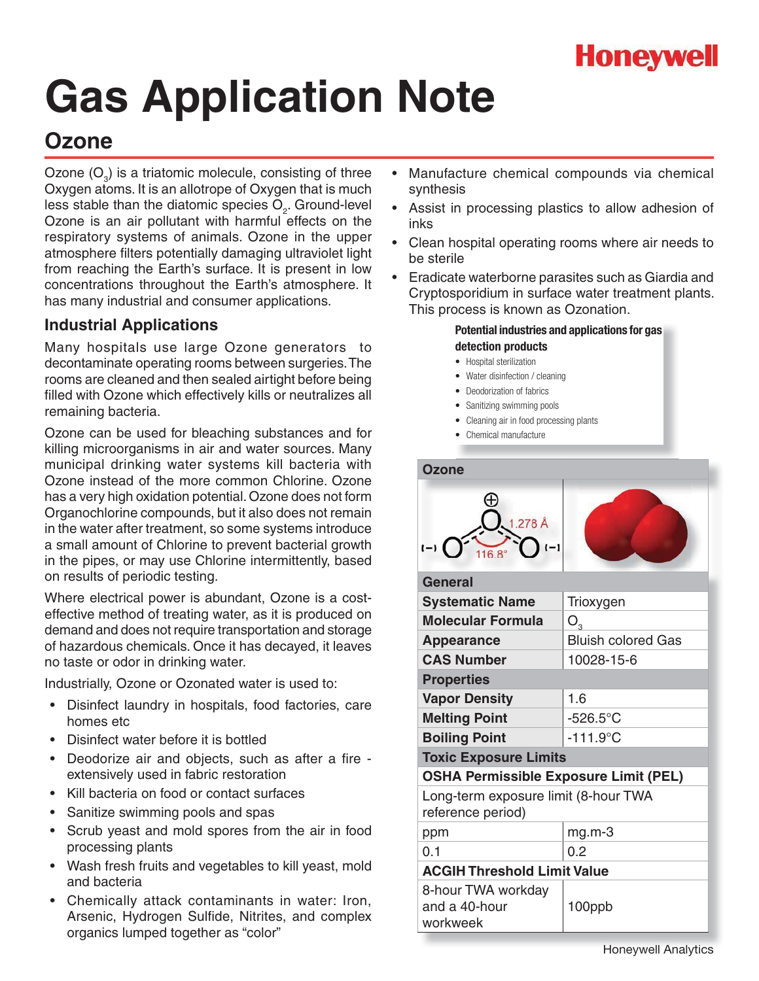

## **Ozone**

Ozone  $(O_3)$  is a triatomic molecule, consisting of three Oxygen atoms. It is an allotrope of Oxygen that is much less stable than the diatomic species  $O<sub>2</sub>$ . Ground-level Ozone is an air pollutant with harmful effects on the respiratory systems of animals. Ozone in the upper atmosphere filters potentially damaging ultraviolet light from reaching the Earth's surface. It is present in low concentrations throughout the Earth's atmosphere. It has many industrial and consumer applications.

## **Industrial Applications**

Many hospitals use large Ozone generators to decontaminate operating rooms between surgeries. The rooms are cleaned and then sealed airtight before being filled with Ozone which effectively kills or neutralizes all remaining bacteria.

Ozone can be used for bleaching substances and for killing microorganisms in air and water sources. Many municipal drinking water systems kill bacteria with Ozone instead of the more common Chlorine. Ozone has a very high oxidation potential. Ozone does not form Organochlorine compounds, but it also does not remain in the water after treatment, so some systems introduce a small amount of Chlorine to prevent bacterial growth in the pipes, or may use Chlorine intermittently, based on results of periodic testing.

Where electrical power is abundant, Ozone is a costeffective method of treating water, as it is produced on demand and does not require transportation and storage of hazardous chemicals. Once it has decayed, it leaves no taste or odor in drinking water.

Industrially, Ozone or Ozonated water is used to:

- Disinfect laundry in hospitals, food factories, care homes etc
- Disinfect water before it is bottled
- Deodorize air and objects, such as after a fire extensively used in fabric restoration
- Kill bacteria on food or contact surfaces
- s Sanitize swimming pools and spas
- Scrub yeast and mold spores from the air in food processing plants
- Wash fresh fruits and vegetables to kill yeast, mold and bacteria
- Chemically attack contaminants in water: Iron, Arsenic, Hydrogen Sulfide, Nitrites, and complex organics lumped together as "color"
- Manufacture chemical compounds via chemical synthesis
- Assist in processing plastics to allow adhesion of inks
- Clean hospital operating rooms where air needs to be sterile
- Eradicate waterborne parasites such as Giardia and Cryptosporidium in surface water treatment plants. This process is known as Ozonation.

- Hospital sterilization
- Water disinfection / cleaning
- Deodorization of fabrics
- Sanitizing swimming pools
- Cleaning air in food processing plants
- Chemical manufacture

| <b>Ozone</b>                                              |                           |  |
|-----------------------------------------------------------|---------------------------|--|
| 1.278 Å<br>$\overline{\phantom{a}}$                       |                           |  |
| <b>General</b>                                            |                           |  |
| <b>Systematic Name</b>                                    | Trioxygen                 |  |
| <b>Molecular Formula</b>                                  | $O_{3}$                   |  |
| <b>Appearance</b>                                         | <b>Bluish colored Gas</b> |  |
| <b>CAS Number</b>                                         | 10028-15-6                |  |
| <b>Properties</b>                                         |                           |  |
| <b>Vapor Density</b>                                      | 1.6                       |  |
| <b>Melting Point</b>                                      | $-526.5^{\circ}$ C        |  |
| <b>Boiling Point</b>                                      | $-111.9^{\circ}$ C        |  |
| <b>Toxic Exposure Limits</b>                              |                           |  |
| <b>OSHA Permissible Exposure Limit (PEL)</b>              |                           |  |
| Long-term exposure limit (8-hour TWA<br>reference period) |                           |  |
| ppm                                                       | $mg.m-3$                  |  |
| 0.1                                                       | 0.2                       |  |
| <b>ACGIH Threshold Limit Value</b>                        |                           |  |
| 8-hour TWA workday<br>and a 40-hour<br>workweek           | 100ppb                    |  |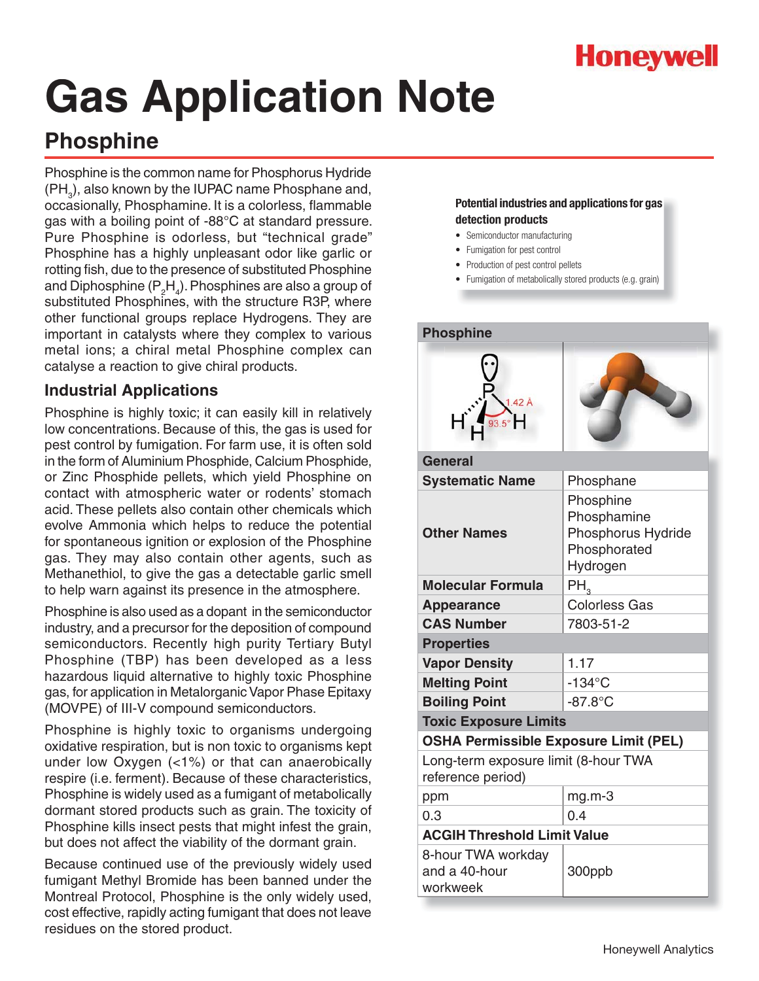

## **Phosphine**

Phosphine is the common name for Phosphorus Hydride  $(\text{PH}_3)$ , also known by the IUPAC name Phosphane and, occasionally, Phosphamine. It is a colorless, flammable gas with a boiling point of -88°C at standard pressure. Pure Phosphine is odorless, but "technical grade" Phosphine has a highly unpleasant odor like garlic or rotting fish, due to the presence of substituted Phosphine and Diphosphine ( $\mathsf{P}_2\mathsf{H}_4$ ). Phosphines are also a group of substituted Phosphines, with the structure R3P, where other functional groups replace Hydrogens. They are important in catalysts where they complex to various metal ions; a chiral metal Phosphine complex can catalyse a reaction to give chiral products.

### **Industrial Applications**

Phosphine is highly toxic; it can easily kill in relatively low concentrations. Because of this, the gas is used for pest control by fumigation. For farm use, it is often sold in the form of Aluminium Phosphide, Calcium Phosphide, or Zinc Phosphide pellets, which yield Phosphine on contact with atmospheric water or rodents' stomach acid. These pellets also contain other chemicals which evolve Ammonia which helps to reduce the potential for spontaneous ignition or explosion of the Phosphine gas. They may also contain other agents, such as Methanethiol, to give the gas a detectable garlic smell to help warn against its presence in the atmosphere.

Phosphine is also used as a dopant in the semiconductor industry, and a precursor for the deposition of compound semiconductors. Recently high purity Tertiary Butyl Phosphine (TBP) has been developed as a less hazardous liquid alternative to highly toxic Phosphine gas, for application in Metalorganic Vapor Phase Epitaxy (MOVPE) of III-V compound semiconductors.

Phosphine is highly toxic to organisms undergoing oxidative respiration, but is non toxic to organisms kept under low Oxygen (<1%) or that can anaerobically respire (i.e. ferment). Because of these characteristics, Phosphine is widely used as a fumigant of metabolically dormant stored products such as grain. The toxicity of Phosphine kills insect pests that might infest the grain, but does not affect the viability of the dormant grain.

Because continued use of the previously widely used fumigant Methyl Bromide has been banned under the Montreal Protocol, Phosphine is the only widely used, cost effective, rapidly acting fumigant that does not leave residues on the stored product.

- Semiconductor manufacturing
- Fumigation for pest control
- Production of pest control pellets
- Fumigation of metabolically stored products (e.g. grain)

| <b>Phosphine</b>                                          |                                                                            |  |
|-----------------------------------------------------------|----------------------------------------------------------------------------|--|
| $1.42 \text{ Å}$                                          |                                                                            |  |
| <b>General</b>                                            |                                                                            |  |
| <b>Systematic Name</b>                                    | Phosphane                                                                  |  |
| <b>Other Names</b>                                        | Phosphine<br>Phosphamine<br>Phosphorus Hydride<br>Phosphorated<br>Hydrogen |  |
| <b>Molecular Formula</b>                                  | PH.                                                                        |  |
| <b>Appearance</b>                                         | <b>Colorless Gas</b>                                                       |  |
| <b>CAS Number</b>                                         | 7803-51-2                                                                  |  |
| <b>Properties</b>                                         |                                                                            |  |
| <b>Vapor Density</b>                                      | 1.17                                                                       |  |
| <b>Melting Point</b>                                      | $-134$ °C                                                                  |  |
| <b>Boiling Point</b>                                      | $-87.8$ °C                                                                 |  |
| <b>Toxic Exposure Limits</b>                              |                                                                            |  |
| <b>OSHA Permissible Exposure Limit (PEL)</b>              |                                                                            |  |
| Long-term exposure limit (8-hour TWA<br>reference period) |                                                                            |  |
| ppm                                                       | $mg.m-3$                                                                   |  |
| 0.3                                                       | 0.4                                                                        |  |
| <b>ACGIH Threshold Limit Value</b>                        |                                                                            |  |
| 8-hour TWA workday<br>and a 40-hour<br>workweek           | 300ppb                                                                     |  |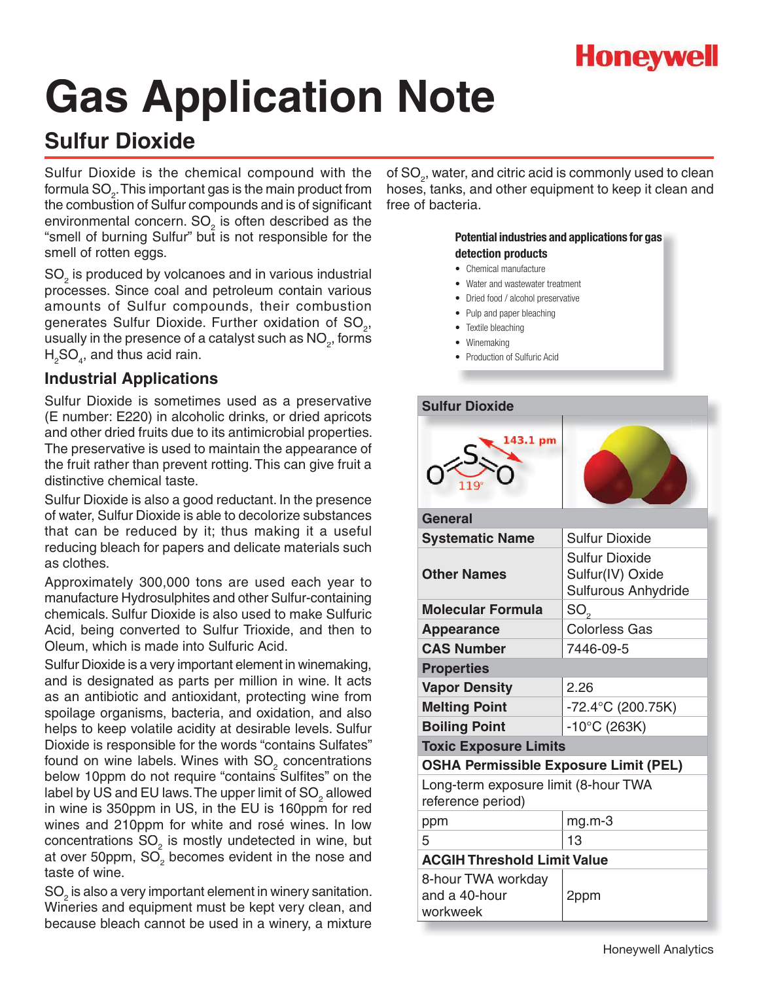

## **Sulfur Dioxide**

Sulfur Dioxide is the chemical compound with the formula SO $_{\textrm{\tiny{2}}}$ . This important gas is the main product from the combustion of Sulfur compounds and is of significant environmental concern.  $SO<sub>2</sub>$  is often described as the "smell of burning Sulfur" but is not responsible for the smell of rotten eggs.

SO<sub>2</sub> is produced by volcanoes and in various industrial processes. Since coal and petroleum contain various amounts of Sulfur compounds, their combustion generates Sulfur Dioxide. Further oxidation of SO<sub>2</sub>, usually in the presence of a catalyst such as  $\mathsf{NO}_2^{},$  forms  ${\sf H_2SO}_4$ , and thus acid rain.

### **Industrial Applications**

Sulfur Dioxide is sometimes used as a preservative (E number: E220) in alcoholic drinks, or dried apricots and other dried fruits due to its antimicrobial properties. The preservative is used to maintain the appearance of the fruit rather than prevent rotting. This can give fruit a distinctive chemical taste.

Sulfur Dioxide is also a good reductant. In the presence of water, Sulfur Dioxide is able to decolorize substances that can be reduced by it; thus making it a useful reducing bleach for papers and delicate materials such as clothes.

Approximately 300,000 tons are used each year to manufacture Hydrosulphites and other Sulfur-containing chemicals. Sulfur Dioxide is also used to make Sulfuric Acid, being converted to Sulfur Trioxide, and then to Oleum, which is made into Sulfuric Acid.

Sulfur Dioxide is a very important element in winemaking, and is designated as parts per million in wine. It acts as an antibiotic and antioxidant, protecting wine from spoilage organisms, bacteria, and oxidation, and also helps to keep volatile acidity at desirable levels. Sulfur Dioxide is responsible for the words "contains Sulfates" found on wine labels. Wines with SO<sub>2</sub> concentrations below 10ppm do not require "contains Sulfites" on the label by US and EU laws. The upper limit of SO<sub>2</sub> allowed in wine is 350ppm in US, in the EU is 160ppm for red wines and 210ppm for white and rosé wines. In low concentrations SO<sub>2</sub> is mostly undetected in wine, but at over 50ppm,  $SO<sub>2</sub>$  becomes evident in the nose and taste of wine.

 $SO<sub>2</sub>$  is also a very important element in winery sanitation. Wineries and equipment must be kept very clean, and because bleach cannot be used in a winery, a mixture

of SO $_{\textrm{\tiny{\it 2}}}$ , water, and citric acid is commonly used to clean hoses, tanks, and other equipment to keep it clean and free of bacteria.

- Chemical manufacture
- Water and wastewater treatment
- Dried food / alcohol preservative
- Pulp and paper bleaching
- Textile bleaching
- Winemaking
- Production of Sulfuric Acid

| <b>Sulfur Dioxide</b>                                     |                                                                  |
|-----------------------------------------------------------|------------------------------------------------------------------|
| 143.1 pm                                                  |                                                                  |
| General                                                   |                                                                  |
| <b>Systematic Name</b>                                    | <b>Sulfur Dioxide</b>                                            |
| <b>Other Names</b>                                        | <b>Sulfur Dioxide</b><br>Sulfur(IV) Oxide<br>Sulfurous Anhydride |
| <b>Molecular Formula</b>                                  | $SO_{\scriptscriptstyle{\alpha}}$                                |
| <b>Appearance</b>                                         | <b>Colorless Gas</b>                                             |
| <b>CAS Number</b>                                         | 7446-09-5                                                        |
| <b>Properties</b>                                         |                                                                  |
| <b>Vapor Density</b>                                      | 2.26                                                             |
| <b>Melting Point</b>                                      | -72.4°C (200.75K)                                                |
| <b>Boiling Point</b>                                      | $-10^{\circ}$ C (263K)                                           |
| <b>Toxic Exposure Limits</b>                              |                                                                  |
| <b>OSHA Permissible Exposure Limit (PEL)</b>              |                                                                  |
| Long-term exposure limit (8-hour TWA<br>reference period) |                                                                  |
| ppm                                                       | $mg.m-3$                                                         |
| 5                                                         | 13                                                               |
| <b>ACGIH Threshold Limit Value</b>                        |                                                                  |
| 8-hour TWA workday<br>and a 40-hour<br>workweek           | 2ppm                                                             |